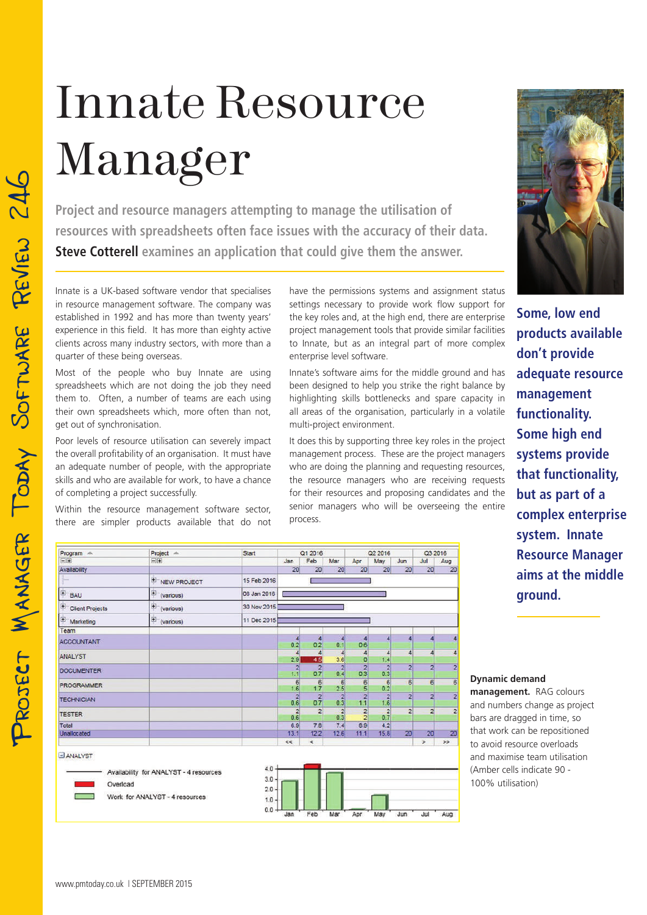## Innate Resource Manager

**Project and resource managers attempting to manage the utilisation of resources with spreadsheets often face issues with the accuracy of their data. Steve Cotterell examines an application that could give them the answer.**

Innate is a UK-based software vendor that specialises in resource management software. The company was established in 1992 and has more than twenty years' experience in this field. It has more than eighty active clients across many industry sectors, with more than a quarter of these being overseas.

Most of the people who buy Innate are using spreadsheets which are not doing the job they need them to. Often, a number of teams are each using their own spreadsheets which, more often than not, get out of synchronisation.

Poor levels of resource utilisation can severely impact the overall profitability of an organisation. It must have an adequate number of people, with the appropriate skills and who are available for work, to have a chance of completing a project successfully.

Within the resource management software sector, there are simpler products available that do not have the permissions systems and assignment status settings necessary to provide work flow support for the key roles and, at the high end, there are enterprise project management tools that provide similar facilities to Innate, but as an integral part of more complex enterprise level software.

Innate's software aims for the middle ground and has been designed to help you strike the right balance by highlighting skills bottlenecks and spare capacity in all areas of the organisation, particularly in a volatile multi-project environment.

It does this by supporting three key roles in the project management process. These are the project managers who are doing the planning and requesting resources, the resource managers who are receiving requests for their resources and proposing candidates and the senior managers who will be overseeing the entire process.



**Some, low end products available don't provide adequate resource management functionality. Some high end systems provide that functionality, but as part of a complex enterprise system. Innate Resource Manager aims at the middle ground.**



**Dynamic demand** 

**management.** RAG colours and numbers change as project bars are dragged in time, so that work can be repositioned to avoid resource overloads and maximise team utilisation (Amber cells indicate 90 - 100% utilisation)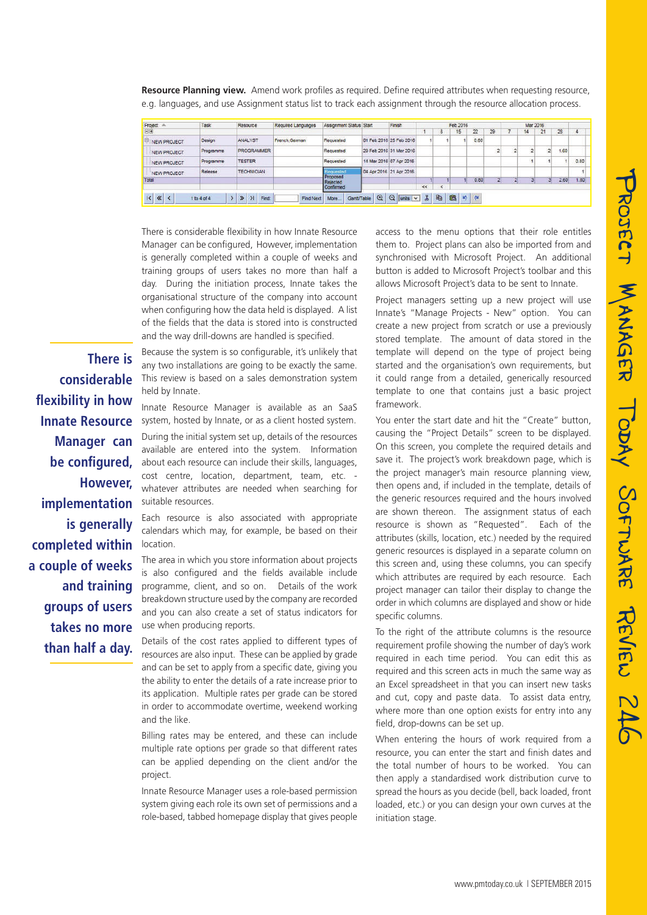|           |      |          | e.g. languages, and use Assignment status list to track each assignment through the resource allocation process. |                         |        |  |          |    |          |  |  |    |  |
|-----------|------|----------|------------------------------------------------------------------------------------------------------------------|-------------------------|--------|--|----------|----|----------|--|--|----|--|
|           |      |          |                                                                                                                  |                         |        |  |          |    |          |  |  |    |  |
| Project - | Task | Resource | Required Languages                                                                                               | Assignment Status Start | Finish |  | Feb 2016 |    | Mar 2016 |  |  |    |  |
| 同田        |      |          |                                                                                                                  |                         |        |  |          | 29 |          |  |  | 28 |  |
|           |      |          |                                                                                                                  |                         |        |  |          |    |          |  |  |    |  |

**Resource Planning view.** Amend work profiles as required. Define required attributes when requesting resource,

| Project A          | Task      | Resource          | Required Languages | Assignment Status Start | Finish                  |       |        | Feb 2016 |         |    | Mar 2016 |    |    |       |      |
|--------------------|-----------|-------------------|--------------------|-------------------------|-------------------------|-------|--------|----------|---------|----|----------|----|----|-------|------|
| 日田                 |           |                   |                    |                         |                         |       | 8      | 15       | $^{22}$ | 29 |          | 14 | 21 | 28    |      |
| NEW PROJECT        | Design    | <b>ANALYST</b>    | French German      | Requested               | 01 Feb 2016 25 Feb 2016 |       |        |          | 0.80    |    |          |    |    |       |      |
| NEW PROJECT        | Programme | <b>PROGRAMMER</b> |                    | Requested               | 29 Feb 2016 31 Mar 2016 |       |        |          |         |    |          |    |    | 1.601 |      |
| <b>NEW PROJECT</b> | Programme | <b>TESTER</b>     |                    | Requested               | 14 Mar 2016 07 Apr 2016 |       |        |          |         |    |          |    |    |       | 0.80 |
| NEW PROJECT        | Release   | <b>TECHNICIAN</b> |                    | Requested               | 04 Apr 2016 21 Apr 2016 |       |        |          |         |    |          |    |    |       |      |
| Total              |           |                   |                    | Proposed<br>Rejected    |                         |       |        |          | 0.80    |    |          |    |    | 2.60  | 1.80 |
|                    |           |                   |                    | Confirmed               |                         | $\ll$ | $\sim$ |          |         |    |          |    |    |       |      |

There is considerable flexibility in how Innate Resource Manager can be configured, However, implementation is generally completed within a couple of weeks and training groups of users takes no more than half a day. During the initiation process, Innate takes the organisational structure of the company into account when configuring how the data held is displayed. A list of the fields that the data is stored into is constructed and the way drill-downs are handled is specified.

**There is considerable flexibility in how Innate Resource Manager can be configured, However, implementation is generally completed within a couple of weeks and training groups of users takes no more than half a day.** 

Because the system is so configurable, it's unlikely that any two installations are going to be exactly the same. This review is based on a sales demonstration system held by Innate.

Innate Resource Manager is available as an SaaS system, hosted by Innate, or as a client hosted system.

During the initial system set up, details of the resources available are entered into the system. Information about each resource can include their skills, languages, cost centre, location, department, team, etc. whatever attributes are needed when searching for suitable resources.

Each resource is also associated with appropriate calendars which may, for example, be based on their location.

The area in which you store information about projects is also configured and the fields available include programme, client, and so on. Details of the work breakdown structure used by the company are recorded and you can also create a set of status indicators for use when producing reports.

Details of the cost rates applied to different types of resources are also input. These can be applied by grade and can be set to apply from a specific date, giving you the ability to enter the details of a rate increase prior to its application. Multiple rates per grade can be stored in order to accommodate overtime, weekend working and the like.

Billing rates may be entered, and these can include multiple rate options per grade so that different rates can be applied depending on the client and/or the project.

Innate Resource Manager uses a role-based permission system giving each role its own set of permissions and a role-based, tabbed homepage display that gives people access to the menu options that their role entitles them to. Project plans can also be imported from and synchronised with Microsoft Project. An additional button is added to Microsoft Project's toolbar and this allows Microsoft Project's data to be sent to Innate.

Project managers setting up a new project will use Innate's "Manage Projects - New" option. You can create a new project from scratch or use a previously stored template. The amount of data stored in the template will depend on the type of project being started and the organisation's own requirements, but it could range from a detailed, generically resourced template to one that contains just a basic project framework.

You enter the start date and hit the "Create" button, causing the "Project Details" screen to be displayed. On this screen, you complete the required details and save it. The project's work breakdown page, which is the project manager's main resource planning view, then opens and, if included in the template, details of the generic resources required and the hours involved are shown thereon. The assignment status of each resource is shown as "Requested". Each of the attributes (skills, location, etc.) needed by the required generic resources is displayed in a separate column on this screen and, using these columns, you can specify which attributes are required by each resource. Each project manager can tailor their display to change the order in which columns are displayed and show or hide specific columns.

To the right of the attribute columns is the resource requirement profile showing the number of day's work required in each time period. You can edit this as required and this screen acts in much the same way as an Excel spreadsheet in that you can insert new tasks and cut, copy and paste data. To assist data entry, where more than one option exists for entry into any field, drop-downs can be set up.

When entering the hours of work required from a resource, you can enter the start and finish dates and the total number of hours to be worked. You can then apply a standardised work distribution curve to spread the hours as you decide (bell, back loaded, front loaded, etc.) or you can design your own curves at the initiation stage.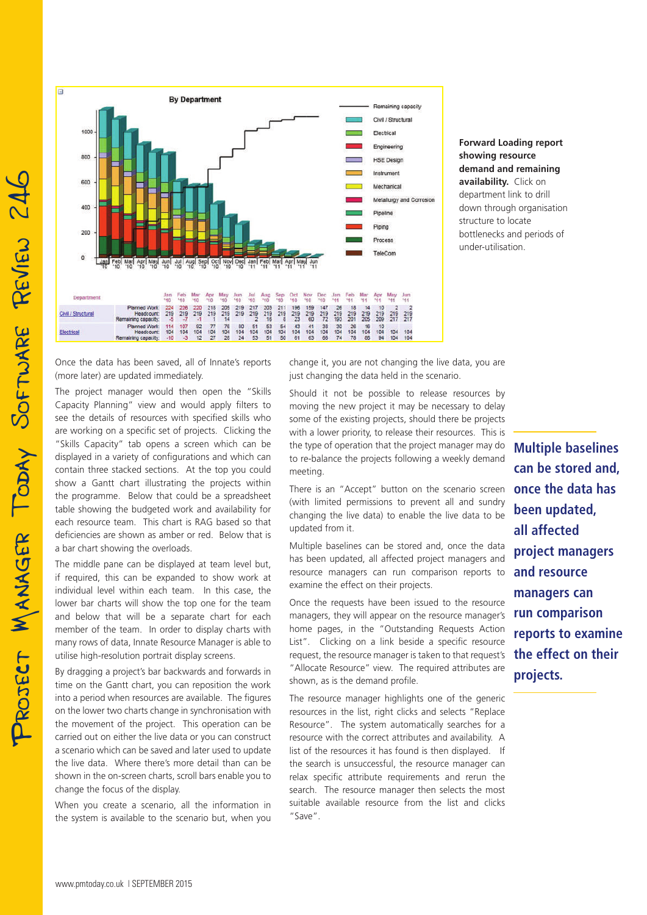

**Forward Loading report showing resource demand and remaining availability.** Click on department link to drill down through organisation structure to locate bottlenecks and periods of under-utilisation.

Once the data has been saved, all of Innate's reports (more later) are updated immediately.

The project manager would then open the "Skills Capacity Planning" view and would apply filters to see the details of resources with specified skills who are working on a specific set of projects. Clicking the "Skills Capacity" tab opens a screen which can be displayed in a variety of configurations and which can contain three stacked sections. At the top you could show a Gantt chart illustrating the projects within the programme. Below that could be a spreadsheet table showing the budgeted work and availability for each resource team. This chart is RAG based so that deficiencies are shown as amber or red. Below that is a bar chart showing the overloads.

The middle pane can be displayed at team level but, if required, this can be expanded to show work at individual level within each team. In this case, the lower bar charts will show the top one for the team and below that will be a separate chart for each member of the team. In order to display charts with many rows of data, Innate Resource Manager is able to utilise high-resolution portrait display screens.

By dragging a project's bar backwards and forwards in time on the Gantt chart, you can reposition the work into a period when resources are available. The figures on the lower two charts change in synchronisation with the movement of the project. This operation can be carried out on either the live data or you can construct a scenario which can be saved and later used to update the live data. Where there's more detail than can be shown in the on-screen charts, scroll bars enable you to change the focus of the display.

When you create a scenario, all the information in the system is available to the scenario but, when you change it, you are not changing the live data, you are just changing the data held in the scenario.

Should it not be possible to release resources by moving the new project it may be necessary to delay some of the existing projects, should there be projects with a lower priority, to release their resources. This is the type of operation that the project manager may do to re-balance the projects following a weekly demand meeting.

There is an "Accept" button on the scenario screen (with limited permissions to prevent all and sundry changing the live data) to enable the live data to be updated from it.

Multiple baselines can be stored and, once the data has been updated, all affected project managers and resource managers can run comparison reports to examine the effect on their projects.

Once the requests have been issued to the resource managers, they will appear on the resource manager's home pages, in the "Outstanding Requests Action List". Clicking on a link beside a specific resource request, the resource manager is taken to that request's "Allocate Resource" view. The required attributes are shown, as is the demand profile.

The resource manager highlights one of the generic resources in the list, right clicks and selects "Replace Resource". The system automatically searches for a resource with the correct attributes and availability. A list of the resources it has found is then displayed. If the search is unsuccessful, the resource manager can relax specific attribute requirements and rerun the search. The resource manager then selects the most suitable available resource from the list and clicks "Save".

**Multiple baselines can be stored and, once the data has been updated, all affected project managers and resource managers can run comparison reports to examine the effect on their projects.**